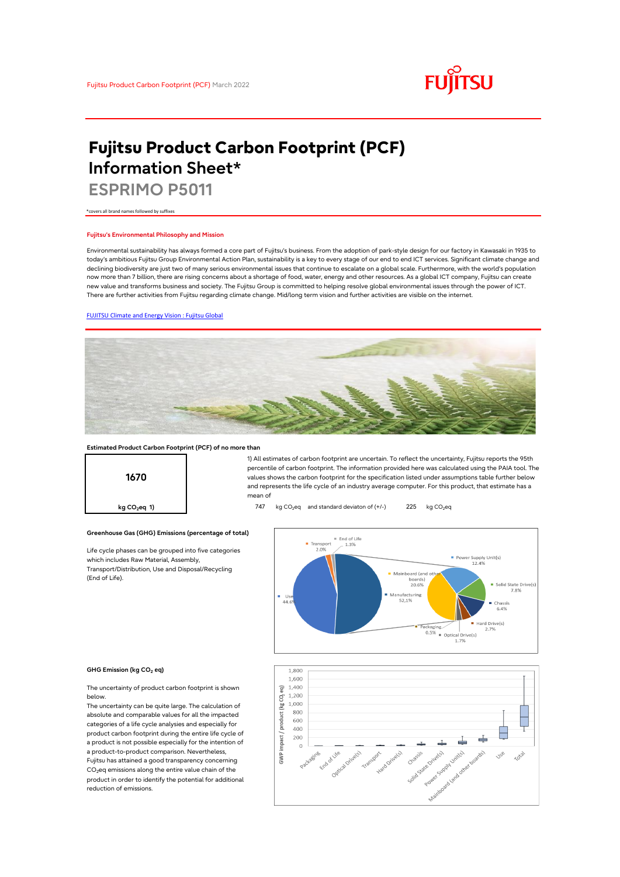

# **Fujitsu Product Carbon Footprint (PCF) Information Sheet\***

**ESPRIMO P5011**

\*covers all brand names followed by suffixes

### **Fujitsu's Environmental Philosophy and Mission**

Environmental sustainability has always formed a core part of Fujitsu's business. From the adoption of park-style design for our factory in Kawasaki in 1935 to today's ambitious Fujitsu Group Environmental Action Plan, sustainability is a key to every stage of our end to end ICT services. Significant climate change and declining biodiversity are just two of many serious environmental issues that continue to escalate on a global scale. Furthermore, with the world's population now more than 7 billion, there are rising concerns about a shortage of food, water, energy and other resources. As a global ICT company, Fujitsu can create new value and transforms business and society. The Fujitsu Group is committed to helping resolve global environmental issues through the power of ICT. There are further activities from Fujitsu regarding climate change. Mid/long term vision and further activities are visible on the internet.

#### [FUJITSU Climate and Energy Vision : Fujitsu Global](https://www.fujitsu.com/global/about/environment/climate-energy-vision/)



#### **Estimated Product Carbon Footprint (PCF) of no more than**

**Greenhouse Gas (GHG) Emissions (percentage of total)**

Life cycle phases can be grouped into five categories

which includes Raw Material, Assembly, Transport/Distribution, Use and Disposal/Recycling

**1670**

1) All estimates of carbon footprint are uncertain. To reflect the uncertainty, Fujitsu reports the 95th percentile of carbon footprint. The information provided here was calculated using the PAIA tool. The values shows the carbon footprint for the specification listed under assumptions table further below and represents the life cycle of an industry average computer. For this product, that estimate has a mean of

**kg CO<sub>2</sub>eq 1) https://edge.org/visor/247** kg CO<sub>2</sub>eq and standard deviaton of (+/-) 225 kg CO<sub>2</sub>eq



#### **GHG Emission (kg CO2 eq)**

(End of Life).

The uncertainty of product carbon footprint is shown below.

The uncertainty can be quite large. The calculation of absolute and comparable values for all the impacted categories of a life cycle analysies and especially for product carbon footprint during the entire life cycle of a product is not possible especially for the intention of a product-to-product comparison. Nevertheless, Fujitsu has attained a good transparency concerning CO<sub>2</sub>eq emissions along the entire value chain of the product in order to identify the potential for additional reduction of emissions.